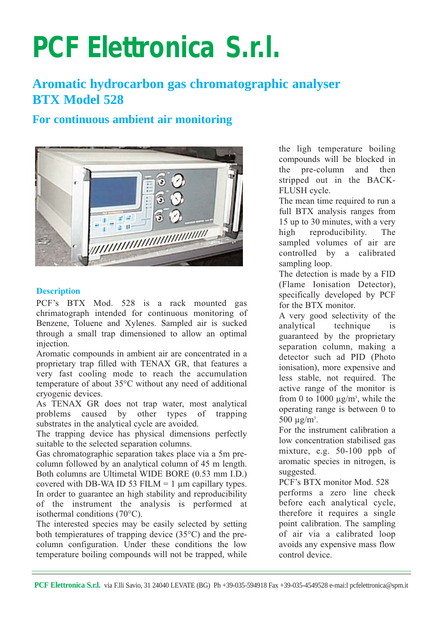# **PCF Elettronica S.r.l.**

## **Aromatic hydrocarbon gas chromatographic analyser BTX Model 528**

### **For continuous ambient air monitoring**



#### **Description**

PCF's BTX Mod. 528 is a rack mounted gas chrimatograph intended for continuous monitoring of Benzene, Toluene and Xylenes. Sampled air is sucked through a small trap dimensioned to allow an optimal injection.

Aromatic compounds in ambient air are concentrated in a proprietary trap filled with TENAX GR, that features a very fast cooling mode to reach the accumulation temperature of about 35°C without any need of additional cryogenic devices.

As TENAX GR does not trap water, most analytical problems caused by other types of trapping substrates in the analytical cycle are avoided.

The trapping device has physical dimensions perfectly suitable to the selected separation columns.

Gas chromatographic separation takes place via a 5m precolumn followed by an analytical column of 45 m length. Both columns are Ultimetal WIDE BORE (0.53 mm I.D.) covered with DB-WA ID 53 FILM = 1  $\mu$ m capillary types. In order to guarantee an high stability and reproducibility of the instrument the analysis is performed at isothermal conditions (70°C).

The interested species may be easily selected by setting both tempìeratures of trapping device (35°C) and the precolumn configuration. Under these conditions the low temperature boiling compounds will not be trapped, while

the ligh temperature boiling compounds will be blocked in the pre-column and then stripped out in the BACK-FLUSH cycle.

The mean time required to run a full BTX analysis ranges from 15 up to 30 minutes, with a very high reproducibility. The sampled volumes of air are controlled by a calibrated sampling loop.

The detection is made by a FID (Flame Ionisation Detector), specifically developed by PCF for the BTX monitor.

A very good selectivity of the analytical technique is guaranteed by the proprietary separation column, making a detector such ad PID (Photo ionisation), more expensive and less stable, not required. The active range of the monitor is from 0 to 1000  $\mu$ g/m<sup>3</sup>, while the operating range is between 0 to 500  $\mu$ g/m<sup>3</sup>.

For the instrument calibration a low concentration stabilised gas mixture, e.g. 50-100 ppb of aromatic species in nitrogen, is suggested.

PCF's BTX monitor Mod. 528 performs a zero line check before each analytical cycle, therefore it requires a single point calibration. The sampling of air via a calibrated loop avoids any expensive mass flow control device.

```
PCF Elettronica S.r.l. via F.lli Savio, 31 24040 LEVATE (BG) Ph +39-035-594918 Fax +39-035-4549528 e-mai:l pcfelettronica@spm.it
```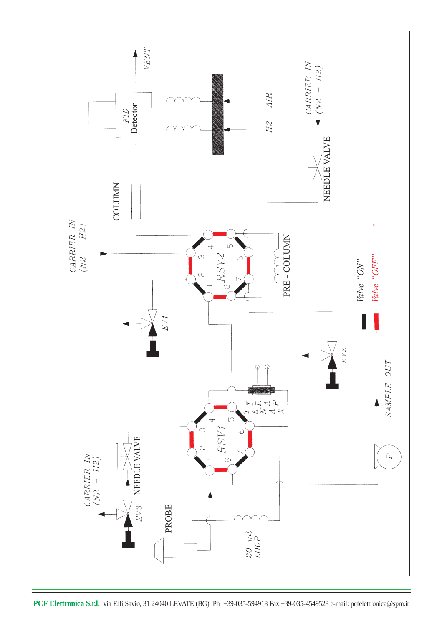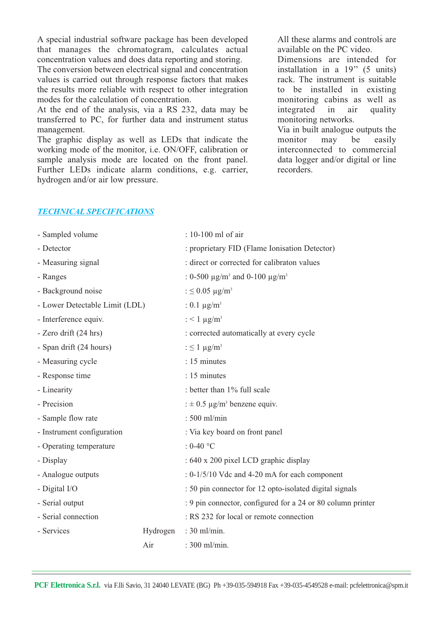A special industrial software package has been developed that manages the chromatogram, calculates actual concentration values and does data reporting and storing.

The conversion between electrical signal and concentration values is carried out through response factors that makes the results more reliable with respect to other integration modes for the calculation of concentration.

At the end of the analysis, via a RS 232, data may be transferred to PC, for further data and instrument status management.

The graphic display as well as LEDs that indicate the working mode of the monitor, i.e. ON/OFF, calibration or sample analysis mode are located on the front panel. Further LEDs indicate alarm conditions, e.g. carrier, hydrogen and/or air low pressure.

All these alarms and controls are available on the PC video.

Dimensions are intended for installation in a 19'' (5 units) rack. The instrument is suitable to be installed in existing monitoring cabins as well as integrated in air quality monitoring networks.

Via in built analogue outputs the monitor may be easily interconnected to commercial data logger and/or digital or line recorders.

#### *TECHNICAL SPECIFICATIONS*

| - Sampled volume               |          | : 10-100 ml of air                                              |
|--------------------------------|----------|-----------------------------------------------------------------|
| - Detector                     |          | : proprietary FID (Flame Ionisation Detector)                   |
| - Measuring signal             |          | : direct or corrected for calibraton values                     |
| - Ranges                       |          | : 0-500 $\mu$ g/m <sup>3</sup> and 0-100 $\mu$ g/m <sup>3</sup> |
| - Background noise             |          | : $\leq$ 0.05 µg/m <sup>3</sup>                                 |
| - Lower Detectable Limit (LDL) |          | : 0.1 $\mu$ g/m <sup>3</sup>                                    |
| - Interference equiv.          |          | : $< 1 \mu g/m^3$                                               |
| - Zero drift (24 hrs)          |          | : corrected automatically at every cycle                        |
| - Span drift (24 hours)        |          | $: \leq 1 \mu g/m^3$                                            |
| - Measuring cycle              |          | : 15 minutes                                                    |
| - Response time                |          | : 15 minutes                                                    |
| - Linearity                    |          | : better than 1% full scale                                     |
| - Precision                    |          | : $\pm$ 0.5 µg/m <sup>3</sup> benzene equiv.                    |
| - Sample flow rate             |          | : 500 ml/min                                                    |
| - Instrument configuration     |          | : Via key board on front panel                                  |
| - Operating temperature        |          | : 0-40 $^{\circ}$ C                                             |
| - Display                      |          | : 640 x 200 pixel LCD graphic display                           |
| - Analogue outputs             |          | $: 0-1/5/10$ Vdc and 4-20 mA for each component                 |
| - Digital I/O                  |          | : 50 pin connector for 12 opto-isolated digital signals         |
| - Serial output                |          | : 9 pin connector, configured for a 24 or 80 column printer     |
| - Serial connection            |          | : RS 232 for local or remote connection                         |
| - Services                     | Hydrogen | : 30 ml/min.                                                    |
|                                | Air      | : 300 ml/min.                                                   |